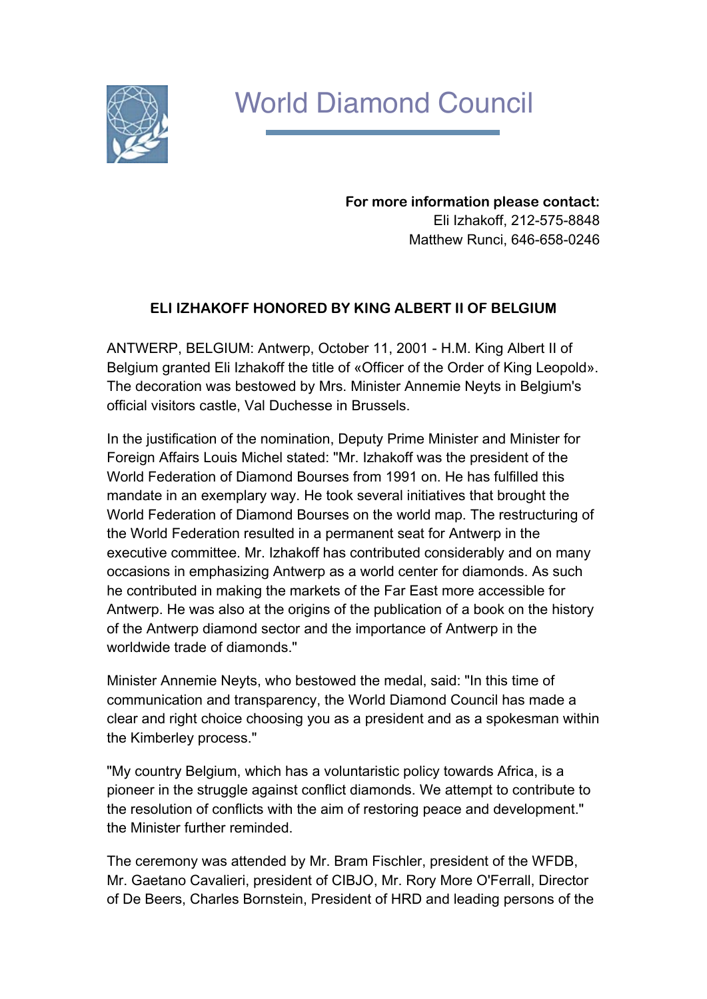

## World Diamond Council

**For more information please contact:** Eli Izhakoff, 212-575-8848 Matthew Runci, 646-658-0246

## **ELI IZHAKOFF HONORED BY KING ALBERT II OF BELGIUM**

ANTWERP, BELGIUM: Antwerp, October 11, 2001 - H.M. King Albert II of Belgium granted Eli Izhakoff the title of «Officer of the Order of King Leopold». The decoration was bestowed by Mrs. Minister Annemie Neyts in Belgium's official visitors castle, Val Duchesse in Brussels.

In the justification of the nomination, Deputy Prime Minister and Minister for Foreign Affairs Louis Michel stated: "Mr. Izhakoff was the president of the World Federation of Diamond Bourses from 1991 on. He has fulfilled this mandate in an exemplary way. He took several initiatives that brought the World Federation of Diamond Bourses on the world map. The restructuring of the World Federation resulted in a permanent seat for Antwerp in the executive committee. Mr. Izhakoff has contributed considerably and on many occasions in emphasizing Antwerp as a world center for diamonds. As such he contributed in making the markets of the Far East more accessible for Antwerp. He was also at the origins of the publication of a book on the history of the Antwerp diamond sector and the importance of Antwerp in the worldwide trade of diamonds."

Minister Annemie Neyts, who bestowed the medal, said: "In this time of communication and transparency, the World Diamond Council has made a clear and right choice choosing you as a president and as a spokesman within the Kimberley process."

"My country Belgium, which has a voluntaristic policy towards Africa, is a pioneer in the struggle against conflict diamonds. We attempt to contribute to the resolution of conflicts with the aim of restoring peace and development." the Minister further reminded.

The ceremony was attended by Mr. Bram Fischler, president of the WFDB, Mr. Gaetano Cavalieri, president of CIBJO, Mr. Rory More O'Ferrall, Director of De Beers, Charles Bornstein, President of HRD and leading persons of the